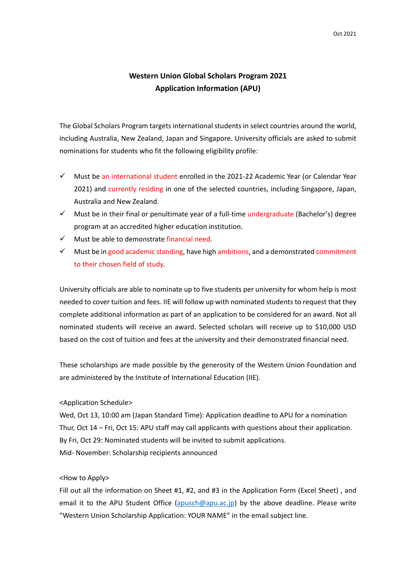## **Western Union Global Scholars Program 2021 Application Information (APU)**

The Global Scholars Program targets international students in select countries around the world, including Australia, New Zealand, Japan and Singapore. University officials are asked to submit nominations for students who fit the following eligibility profile:

- $\checkmark$  Must be an international student enrolled in the 2021-22 Academic Year (or Calendar Year 2021) and currently residing in one of the selected countries, including Singapore, Japan, Australia and New Zealand.
- $\checkmark$  Must be in their final or penultimate year of a full-time undergraduate (Bachelor's) degree program at an accredited higher education institution.
- $\checkmark$  Must be able to demonstrate financial need.
- $\checkmark$  Must be in good academic standing, have high ambitions, and a demonstrated commitment to their chosen field of study.

University officials are able to nominate up to five students per university for whom help is most needed to cover tuition and fees. IIE will follow up with nominated students to request that they complete additional information as part of an application to be considered for an award. Not all nominated students will receive an award. Selected scholars will receive up to \$10,000 USD based on the cost of tuition and fees at the university and their demonstrated financial need.

These scholarships are made possible by the generosity of the Western Union Foundation and are administered by the Institute of International Education (IIE).

## <Application Schedule>

Wed, Oct 13, 10:00 am (Japan Standard Time): Application deadline to APU for a nomination Thur, Oct 14 – Fri, Oct 15: APU staff may call applicants with questions about their application. By Fri, Oct 29: Nominated students will be invited to submit applications. Mid‐ November: Scholarship recipients announced

## <How to Apply>

Fill out all the information on Sheet #1, #2, and #3 in the Application Form (Excel Sheet), and email it to the APU Student Office (apusch@apu.ac.jp) by the above deadline. Please write "Western Union Scholarship Application: YOUR NAME" in the email subject line.